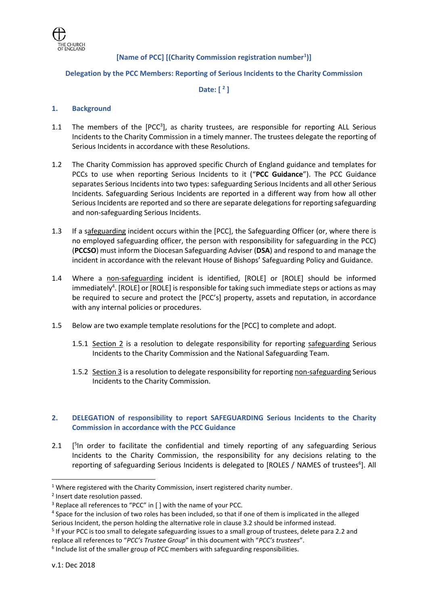

# **[Name of PCC] [(Charity Commission registration number<sup>1</sup> )]**

#### **Delegation by the PCC Members: Reporting of Serious Incidents to the Charity Commission**

## **Date: [ <sup>2</sup> ]**

#### **1. Background**

- 1.1 The members of the  $[PCC<sup>3</sup>]$ , as charity trustees, are responsible for reporting ALL Serious Incidents to the Charity Commission in a timely manner. The trustees delegate the reporting of Serious Incidents in accordance with these Resolutions.
- 1.2 The Charity Commission has approved specific Church of England guidance and templates for PCCs to use when reporting Serious Incidents to it ("**PCC Guidance**"). The PCC Guidance separates Serious Incidents into two types: safeguarding Serious Incidents and all other Serious Incidents. Safeguarding Serious Incidents are reported in a different way from how all other Serious Incidents are reported and so there are separate delegations for reporting safeguarding and non-safeguarding Serious Incidents.
- 1.3 If a safeguarding incident occurs within the [PCC], the Safeguarding Officer (or, where there is no employed safeguarding officer, the person with responsibility for safeguarding in the PCC) (**PCCSO**) must inform the Diocesan Safeguarding Adviser (**DSA**) and respond to and manage the incident in accordance with the relevant House of Bishops' Safeguarding Policy and Guidance.
- 1.4 Where a non-safeguarding incident is identified, [ROLE] or [ROLE] should be informed immediately<sup>4</sup>. [ROLE] or [ROLE] is responsible for taking such immediate steps or actions as may be required to secure and protect the [PCC's] property, assets and reputation, in accordance with any internal policies or procedures.
- 1.5 Below are two example template resolutions for the [PCC] to complete and adopt.
	- 1.5.1 Section 2 is a resolution to delegate responsibility for reporting safeguarding Serious Incidents to the Charity Commission and the National Safeguarding Team.
	- 1.5.2 Section 3 is a resolution to delegate responsibility for reporting non-safeguarding Serious Incidents to the Charity Commission.

### **2. DELEGATION of responsibility to report SAFEGUARDING Serious Incidents to the Charity Commission in accordance with the PCC Guidance**

2.1 [ <sup>5</sup>In order to facilitate the confidential and timely reporting of any safeguarding Serious Incidents to the Charity Commission, the responsibility for any decisions relating to the reporting of safeguarding Serious Incidents is delegated to [ROLES / NAMES of trustees<sup>6</sup>]. All

1

<sup>&</sup>lt;sup>1</sup> Where registered with the Charity Commission, insert registered charity number.

<sup>&</sup>lt;sup>2</sup> Insert date resolution passed.

<sup>&</sup>lt;sup>3</sup> Replace all references to "PCC" in [ ] with the name of your PCC.

<sup>&</sup>lt;sup>4</sup> Space for the inclusion of two roles has been included, so that if one of them is implicated in the alleged Serious Incident, the person holding the alternative role in clause 3.2 should be informed instead.

<sup>&</sup>lt;sup>5</sup> If your PCC is too small to delegate safeguarding issues to a small group of trustees, delete para 2.2 and replace all references to "*PCC's Trustee Group*" in this document with "*PCC's trustees*".

<sup>&</sup>lt;sup>6</sup> Include list of the smaller group of PCC members with safeguarding responsibilities.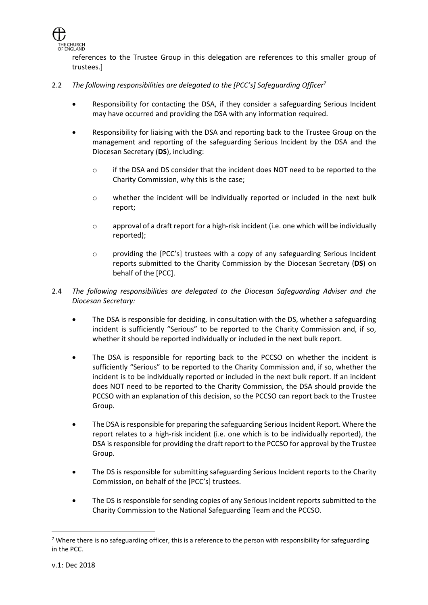

references to the Trustee Group in this delegation are references to this smaller group of trustees.]

## 2.2 *The following responsibilities are delegated to the [PCC's] Safeguarding Officer<sup>7</sup>*

- Responsibility for contacting the DSA, if they consider a safeguarding Serious Incident may have occurred and providing the DSA with any information required.
- Responsibility for liaising with the DSA and reporting back to the Trustee Group on the management and reporting of the safeguarding Serious Incident by the DSA and the Diocesan Secretary (**DS**), including:
	- $\circ$  if the DSA and DS consider that the incident does NOT need to be reported to the Charity Commission, why this is the case;
	- o whether the incident will be individually reported or included in the next bulk report;
	- $\circ$  approval of a draft report for a high-risk incident (i.e. one which will be individually reported);
	- o providing the [PCC's] trustees with a copy of any safeguarding Serious Incident reports submitted to the Charity Commission by the Diocesan Secretary (**DS**) on behalf of the [PCC].
- 2.4 *The following responsibilities are delegated to the Diocesan Safeguarding Adviser and the Diocesan Secretary:*
	- The DSA is responsible for deciding, in consultation with the DS, whether a safeguarding incident is sufficiently "Serious" to be reported to the Charity Commission and, if so, whether it should be reported individually or included in the next bulk report.
	- The DSA is responsible for reporting back to the PCCSO on whether the incident is sufficiently "Serious" to be reported to the Charity Commission and, if so, whether the incident is to be individually reported or included in the next bulk report. If an incident does NOT need to be reported to the Charity Commission, the DSA should provide the PCCSO with an explanation of this decision, so the PCCSO can report back to the Trustee Group.
	- The DSA is responsible for preparing the safeguarding Serious Incident Report. Where the report relates to a high-risk incident (i.e. one which is to be individually reported), the DSA is responsible for providing the draft report to the PCCSO for approval by the Trustee Group.
	- The DS is responsible for submitting safeguarding Serious Incident reports to the Charity Commission, on behalf of the [PCC's] trustees.
	- The DS is responsible for sending copies of any Serious Incident reports submitted to the Charity Commission to the National Safeguarding Team and the PCCSO.

 $\overline{a}$ 

<sup>&</sup>lt;sup>7</sup> Where there is no safeguarding officer, this is a reference to the person with responsibility for safeguarding in the PCC.